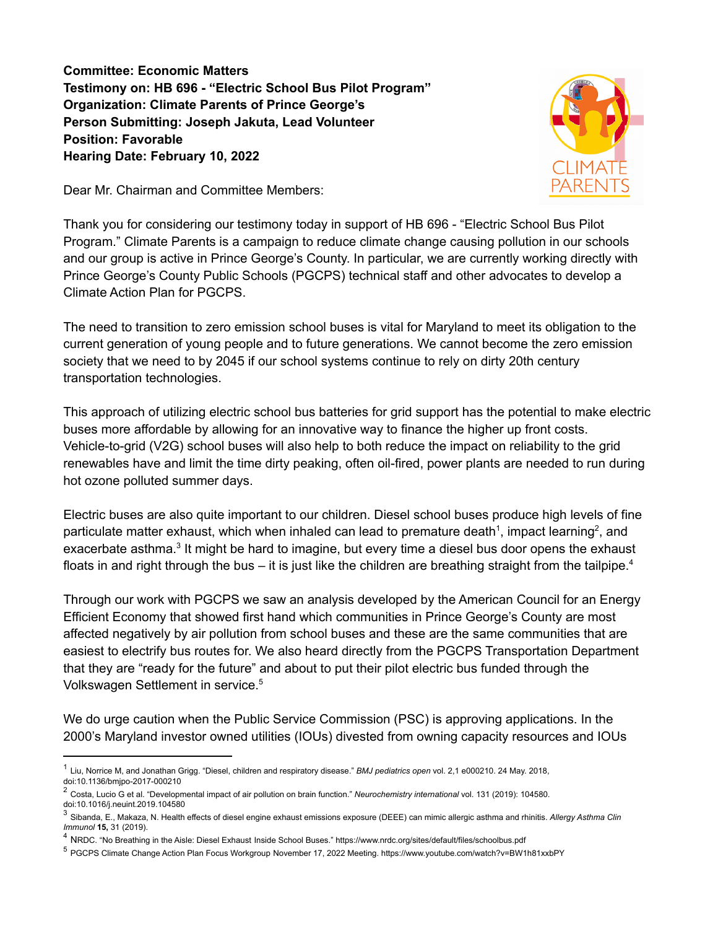**Committee: Economic Matters Testimony on: HB 696 - "Electric School Bus Pilot Program" Organization: Climate Parents of Prince George's Person Submitting: Joseph Jakuta, Lead Volunteer Position: Favorable Hearing Date: February 10, 2022**

Dear Mr. Chairman and Committee Members:



Thank you for considering our testimony today in support of HB 696 - "Electric School Bus Pilot Program." Climate Parents is a campaign to reduce climate change causing pollution in our schools and our group is active in Prince George's County. In particular, we are currently working directly with Prince George's County Public Schools (PGCPS) technical staff and other advocates to develop a Climate Action Plan for PGCPS.

The need to transition to zero emission school buses is vital for Maryland to meet its obligation to the current generation of young people and to future generations. We cannot become the zero emission society that we need to by 2045 if our school systems continue to rely on dirty 20th century transportation technologies.

This approach of utilizing electric school bus batteries for grid support has the potential to make electric buses more affordable by allowing for an innovative way to finance the higher up front costs. Vehicle-to-grid (V2G) school buses will also help to both reduce the impact on reliability to the grid renewables have and limit the time dirty peaking, often oil-fired, power plants are needed to run during hot ozone polluted summer days.

Electric buses are also quite important to our children. Diesel school buses produce high levels of fine particulate matter exhaust, which when inhaled can lead to premature death<sup>1</sup>, impact learning<sup>2</sup>, and exacerbate asthma.<sup>3</sup> It might be hard to imagine, but every time a diesel bus door opens the exhaust floats in and right through the bus – it is just like the children are breathing straight from the tailpipe.<sup>4</sup>

Through our work with PGCPS we saw an analysis developed by the American Council for an Energy Efficient Economy that showed first hand which communities in Prince George's County are most affected negatively by air pollution from school buses and these are the same communities that are easiest to electrify bus routes for. We also heard directly from the PGCPS Transportation Department that they are "ready for the future" and about to put their pilot electric bus funded through the Volkswagen Settlement in service. 5

We do urge caution when the Public Service Commission (PSC) is approving applications. In the 2000's Maryland investor owned utilities (IOUs) divested from owning capacity resources and IOUs

<sup>1</sup> Liu, Norrice M, and Jonathan Grigg. "Diesel, children and respiratory disease." *BMJ pediatrics open* vol. 2,1 e000210. 24 May. 2018, doi:10.1136/bmjpo-2017-000210

<sup>2</sup> Costa, Lucio G et al. "Developmental impact of air pollution on brain function." *Neurochemistry international* vol. 131 (2019): 104580. doi:10.1016/j.neuint.2019.104580

<sup>3</sup> Sibanda, E., Makaza, N. Health effects of diesel engine exhaust emissions exposure (DEEE) can mimic allergic asthma and rhinitis. *Allergy Asthma Clin Immunol* **15,** 31 (2019).

<sup>4</sup> NRDC. "No Breathing in the Aisle: Diesel Exhaust Inside School Buses." https://www.nrdc.org/sites/default/files/schoolbus.pdf

<sup>5</sup> PGCPS Climate Change Action Plan Focus Workgroup November 17, 2022 Meeting. https://www.youtube.com/watch?v=BW1h81xxbPY